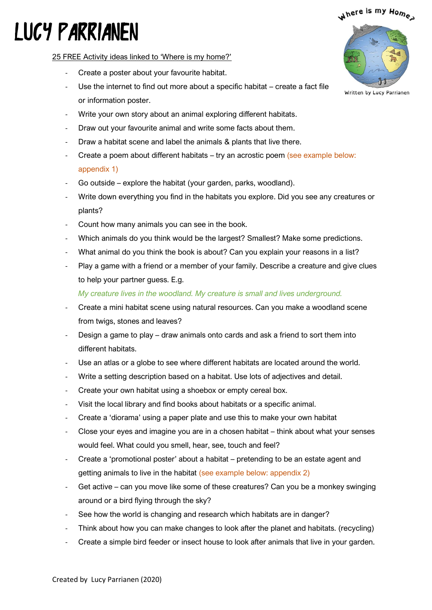### where is my Hom<sub>e</sub>

# LUCY PARRIANEN

25 FREE Activity ideas linked to 'Where is my home?'

- Create a poster about your favourite habitat.
- Use the internet to find out more about a specific habitat create a fact file or information poster.
- Write your own story about an animal exploring different habitats.
- Draw out your favourite animal and write some facts about them.
- Draw a habitat scene and label the animals & plants that live there.
- Create a poem about different habitats try an acrostic poem (see example below: appendix 1)
- Go outside explore the habitat (your garden, parks, woodland).
- Write down everything you find in the habitats you explore. Did you see any creatures or plants?
- Count how many animals you can see in the book.
- Which animals do you think would be the largest? Smallest? Make some predictions.
- What animal do you think the book is about? Can you explain your reasons in a list?
- Play a game with a friend or a member of your family. Describe a creature and give clues to help your partner guess. E.g.

*My creature lives in the woodland. My creature is small and lives underground.*

- Create a mini habitat scene using natural resources. Can you make a woodland scene from twigs, stones and leaves?
- Design a game to play draw animals onto cards and ask a friend to sort them into different habitats.
- Use an atlas or a globe to see where different habitats are located around the world.
- Write a setting description based on a habitat. Use lots of adjectives and detail.
- Create your own habitat using a shoebox or empty cereal box.
- Visit the local library and find books about habitats or a specific animal.
- Create a 'diorama' using a paper plate and use this to make your own habitat
- Close your eyes and imagine you are in a chosen habitat think about what your senses would feel. What could you smell, hear, see, touch and feel?
- Create a 'promotional poster' about a habitat pretending to be an estate agent and getting animals to live in the habitat (see example below: appendix 2)
- Get active can you move like some of these creatures? Can you be a monkey swinging around or a bird flying through the sky?
- See how the world is changing and research which habitats are in danger?
- Think about how you can make changes to look after the planet and habitats. (recycling)
- Create a simple bird feeder or insect house to look after animals that live in your garden.

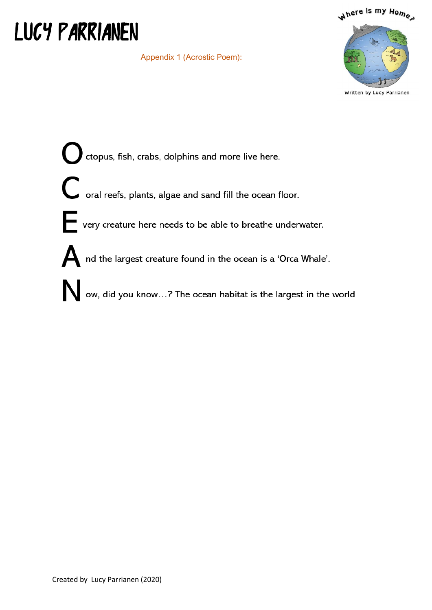## **LUCY PARRIANEN**

|  | Appendix 1 (Acrostic Poem): |  |
|--|-----------------------------|--|
|  |                             |  |



Written by Lucy Parrianen

ctopus, fish, crabs, dolphins and more live here. C<br>oral reefs, plants, algae and sand fill the ocean floor. very creature here needs to be able to breathe underwater. A nd the largest creature found in the ocean is a 'Orca Whale'. ow, did you know...? The ocean habitat is the largest in the world.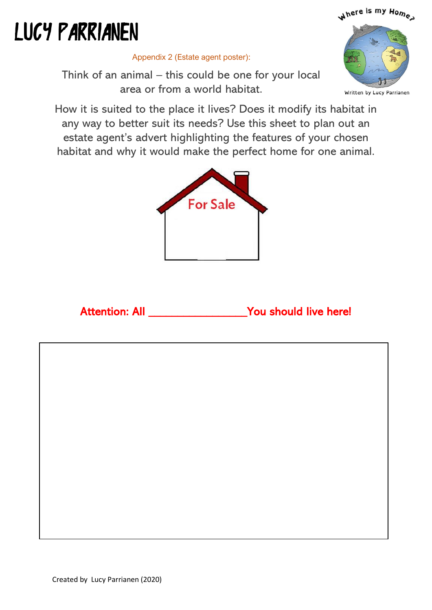## where is my Home

# **LUCY PARRIANEN**



Appendix 2 (Estate agent poster):

Think of an animal – this could be one for your local area or from a world habitat.

How it is suited to the place it lives? Does it modify its habitat in any way to better suit its needs? Use this sheet to plan out an estate agent's advert highlighting the features of your chosen habitat and why it would make the perfect home for one animal.



#### Attention: All \_\_\_\_\_\_\_\_\_\_\_\_\_\_\_\_\_\_\_You should live here!

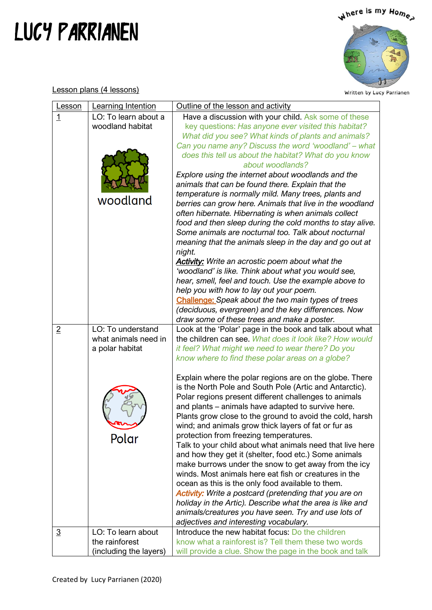## LUCY PARRIANEN



Written by Lucy Parrianen

Lesson plans (4 lessons)

| Lesson         | Learning Intention                                                    | Outline of the lesson and activity                                                                                                                                                                                                                                                                                                                                                                                                                                                                                                                                                                                                                                                                                                                                                                                                                                                                                                                                                                                                                                                                                                                                                |
|----------------|-----------------------------------------------------------------------|-----------------------------------------------------------------------------------------------------------------------------------------------------------------------------------------------------------------------------------------------------------------------------------------------------------------------------------------------------------------------------------------------------------------------------------------------------------------------------------------------------------------------------------------------------------------------------------------------------------------------------------------------------------------------------------------------------------------------------------------------------------------------------------------------------------------------------------------------------------------------------------------------------------------------------------------------------------------------------------------------------------------------------------------------------------------------------------------------------------------------------------------------------------------------------------|
| <u>1</u>       | LO: To learn about a<br>woodland habitat<br>woodland                  | Have a discussion with your child. Ask some of these<br>key questions: Has anyone ever visited this habitat?<br>What did you see? What kinds of plants and animals?<br>Can you name any? Discuss the word 'woodland' – what<br>does this tell us about the habitat? What do you know<br>about woodlands?<br>Explore using the internet about woodlands and the<br>animals that can be found there. Explain that the<br>temperature is normally mild. Many trees, plants and<br>berries can grow here. Animals that live in the woodland<br>often hibernate. Hibernating is when animals collect<br>food and then sleep during the cold months to stay alive.<br>Some animals are nocturnal too. Talk about nocturnal<br>meaning that the animals sleep in the day and go out at<br>night.<br><b>Activity:</b> Write an acrostic poem about what the<br>'woodland' is like. Think about what you would see,<br>hear, smell, feel and touch. Use the example above to<br>help you with how to lay out your poem.<br><b>Challenge:</b> Speak about the two main types of trees<br>(deciduous, evergreen) and the key differences. Now<br>draw some of these trees and make a poster. |
| $\overline{2}$ | LO: To understand<br>what animals need in<br>a polar habitat<br>Polar | Look at the 'Polar' page in the book and talk about what<br>the children can see. What does it look like? How would<br>it feel? What might we need to wear there? Do you<br>know where to find these polar areas on a globe?<br>Explain where the polar regions are on the globe. There<br>is the North Pole and South Pole (Artic and Antarctic).<br>Polar regions present different challenges to animals<br>and plants – animals have adapted to survive here.<br>Plants grow close to the ground to avoid the cold, harsh<br>wind; and animals grow thick layers of fat or fur as<br>protection from freezing temperatures.<br>Talk to your child about what animals need that live here<br>and how they get it (shelter, food etc.) Some animals<br>make burrows under the snow to get away from the icy<br>winds. Most animals here eat fish or creatures in the<br>ocean as this is the only food available to them.<br><b>Activity:</b> Write a postcard (pretending that you are on<br>holiday in the Artic). Describe what the area is like and<br>animals/creatures you have seen. Try and use lots of<br>adjectives and interesting vocabulary.                       |
| $\overline{3}$ | LO: To learn about<br>the rainforest<br>(including the layers)        | Introduce the new habitat focus: Do the children<br>know what a rainforest is? Tell them these two words<br>will provide a clue. Show the page in the book and talk                                                                                                                                                                                                                                                                                                                                                                                                                                                                                                                                                                                                                                                                                                                                                                                                                                                                                                                                                                                                               |